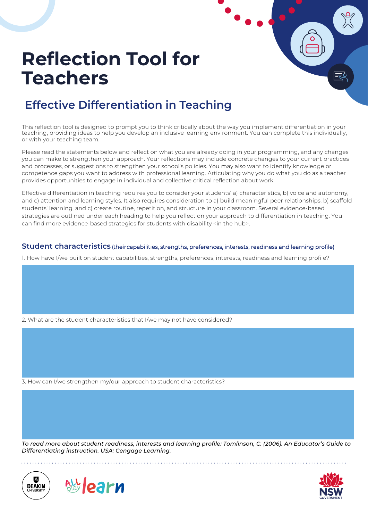#### **Effective Differentiation in Teaching**

This reflection tool is designed to prompt you to think critically about the way you implement differentiation in your teaching, providing ideas to help you develop an inclusive learning environment. You can complete this individually, or with your teaching team.

Please read the statements below and reflect on what you are already doing in your programming, and any changes you can make to strengthen your approach. Your reflections may include concrete changes to your current practices and processes, or suggestions to strengthen your school's policies. You may also want to identify knowledge or competence gaps you want to address with professional learning. Articulating why you do what you do as a teacher provides opportunities to engage in individual and collective critical reflection about work.

Effective differentiation in teaching requires you to consider your students' a) characteristics, b) voice and autonomy, and c) attention and learning styles. It also requires consideration to a) build meaningful peer relationships, b) scaffold students' learning, and c) create routine, repetition, and structure in your classroom. Several evidence-based strategies are outlined under each heading to help you reflect on your approach to differentiation in teaching. You can find more evidence-based strategies for students with disability <in the hub>.

#### **Student characteristics** (their capabilities, strengths, preferences, interests, readiness and learning profile)

1. How have I/we built on student capabilities, strengths, preferences, interests, readiness and learning profile?

2. What are the student characteristics that I/we may not have considered?

3. How can I/we strengthen my/our approach to student characteristics?

*To read more about student readiness, interests and learning profile: Tomlinson, C. (2006). An Educator's Guide to Differentiating instruction. USA: Cengage Learning.*





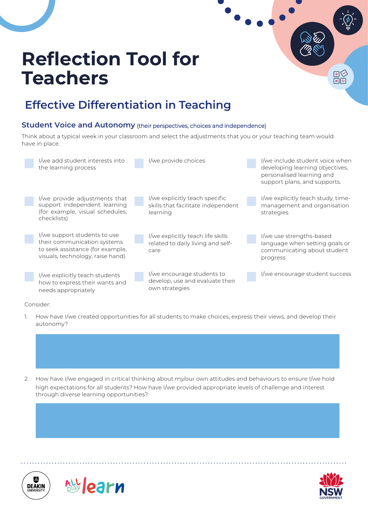### **Effective Differentiation in Teaching**

#### **Student Voice and Autonomy** (their perspectives, choices and independence)

Think about a typical week in your classroom and select the adjustments that you or your teaching team would have in place.



#### Consider:

1. How have I/we created opportunities for all students to make choices, express their views, and develop their autonomy?







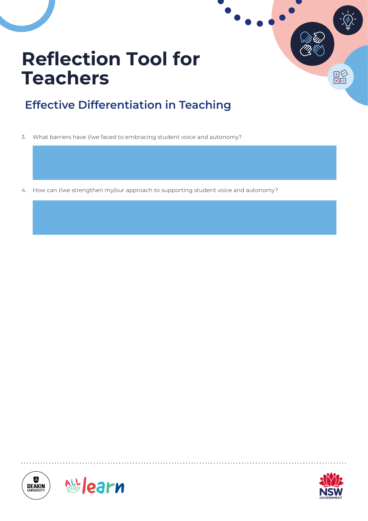### **Effective Differentiation in Teaching**

3. What barriers have I/we faced to embracing student voice and autonomy?

4. How can I/we strengthen my/our approach to supporting student voice and autonomy?







 $\begin{array}{c} \mathbb{H} \\ \hline \boxtimes \boxplus \end{array}$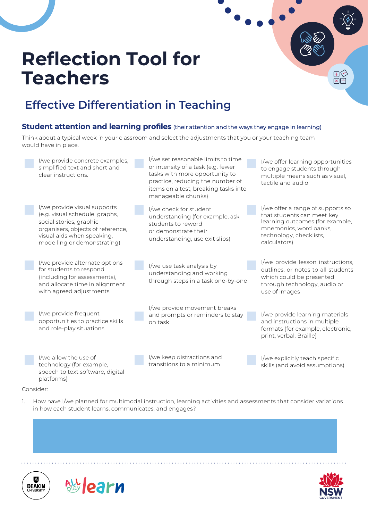### **Effective Differentiation in Teaching**

#### **Student attention and learning profiles** (their attention and the ways they engage in learning)

Think about a typical week in your classroom and select the adjustments that you or your teaching team would have in place.



- Consider:
- 1. How have I/we planned for multimodal instruction, learning activities and assessments that consider variations in how each student learns, communicates, and engages?





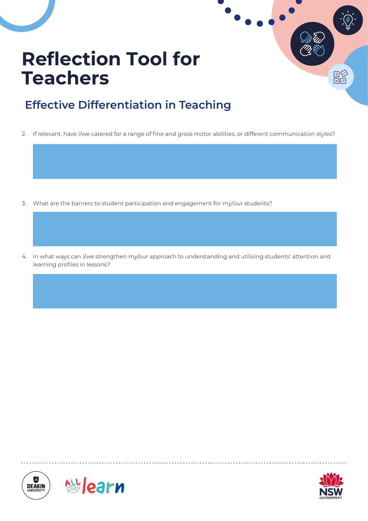### **Effective Differentiation in Teaching**

2. If relevant, have I/we catered for a range of fine and gross motor abilities, or different communication styles?

- 3. What are the barriers to student participation and engagement for my/our students?
- 4. In what ways can I/we strengthen my/our approach to understanding and utilising students' attention and learning profiles in lessons?







오도<br>지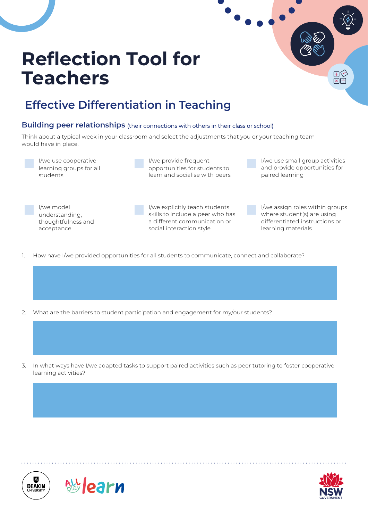### **Effective Differentiation in Teaching**

#### **Building peer relationships** (their connections with others in their class or school)

Think about a typical week in your classroom and select the adjustments that you or your teaching team would have in place.



I/we provide frequent opportunities for students to learn and socialise with peers I/we use small group activities and provide opportunities for paired learning

i<br>El<br>∺l×l

I/we model understanding, thoughtfulness and acceptance

I/we explicitly teach students skills to include a peer who has a different communication or social interaction style

I/we assign roles within groups where student(s) are using differentiated instructions or learning materials

- 1. How have I/we provided opportunities for all students to communicate, connect and collaborate?
- 2. What are the barriers to student participation and engagement for my/our students?
- 3. In what ways have I/we adapted tasks to support paired activities such as peer tutoring to foster cooperative learning activities?





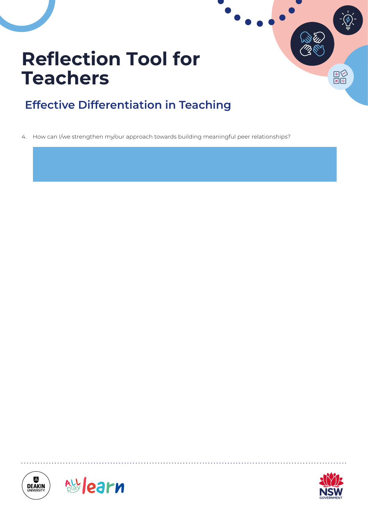### **Effective Differentiation in Teaching**

4. How can I/we strengthen my/our approach towards building meaningful peer relationships?







모<br>모<br>모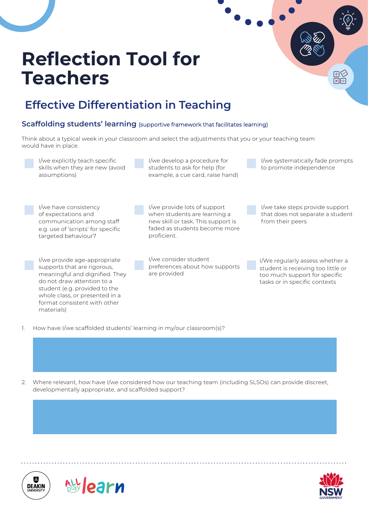

1. How have I/we scaffolded students' learning in my/our classroom(s)?

2. Where relevant, how have I/we considered how our teaching team (including SLSOs) can provide discreet, developmentally appropriate, and scaffolded support?





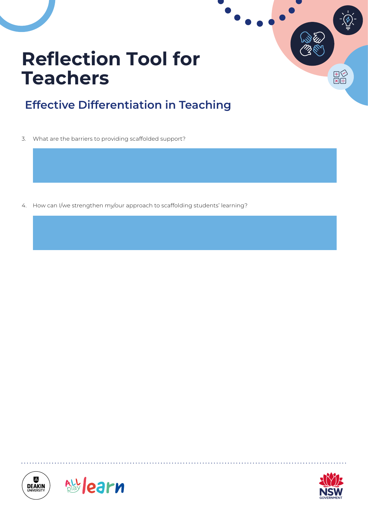### **Effective Differentiation in Teaching**

3. What are the barriers to providing scaffolded support?

4. How can I/we strengthen my/our approach to scaffolding students' learning?







 $\begin{array}{c} \mathbb{H} \\ \mathbb{R} \end{array}$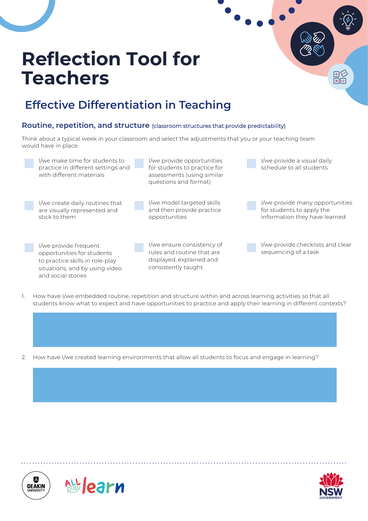

- 1. How have I/we embedded routine, repetition and structure within and across learning activities so that all students know what to expect and have opportunities to practice and apply their learning in different contexts?
- 2. How have I/we created learning environments that allow all students to focus and engage in learning?